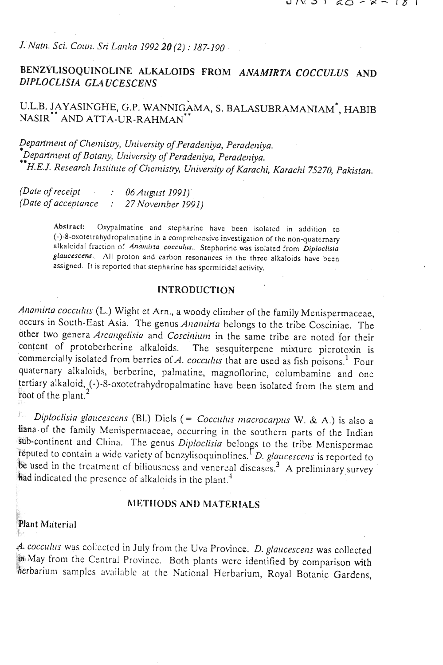J. Natn. Sci. Coun. Sri Lanka 1992 20 (2) : 187-190 -

# BENZYLISOQUINOLINE ALKALOIDS FROM ANAMIRTA COCCULUS AND DIPLOCLISIA GLAUCESCENS

# U.L.B. JAYASINGHE, G.P. WANNIGAMA, S. BALASUBRAMANIAM', HABIB NASIR" AND ATTA-UR-RAHMAN

Department of Chemistry, University of Peradeniya, Peradeniya. Department of Botany, University of Peradeniya, Peradeniya. <sup>\*</sup>H.E.J. Research Institute of Chemistry, University of Karachi, Karachi 75270, Pakistan.

| (Date of receipt)   | 06 August 1991)   |
|---------------------|-------------------|
| (Date of acceptance | 27 November 1991) |

Abstract: Oxypalmatine and stepharine have been isolated in addition to (-)-8-oxotetrahydropalmatine in a comprehensive investigation of the non-quaternary alkaloidal fraction of Anamirta cocculus. Stepharine was isolated from Diploclisia glaucescens. All proton and carbon resonances in the three alkaloids have been assigned. It is reported that stepharine has spermicidal activity.

## **INTRODUCTION**

Anamirta cocculus (L.) Wight et Arn., a woody climber of the family Menispermaceae, occurs in South-East Asia. The genus Anamirta belongs to the tribe Cosciniae. The other two genera Arcangelisia and Coscinium in the same tribe are noted for their content of protoberberine alkaloids. The sesquiterpene mixture picrotoxin is commercially isolated from berries of A. cocculus that are used as fish poisons.<sup>1</sup> Four quaternary alkaloids, berberine, palmatine, magnoflorine, columbamine and one tertiary alkaloid, (-)-8-oxotetrahydropalmatine have been isolated from the stem and root of the plant.<sup>2</sup>

Diploclisia glaucescens (Bl.) Diels (= Cocculus macrocarpus W. & A.) is also a liana of the family Menispermaccae, occurring in the southern parts of the Indian sub-continent and China. The genus Diploclisia belongs to the tribe Menispermae reputed to contain a wide variety of benzylisoquinolines.<sup> $\Gamma$ </sup>*D. glaucescens* is reported to be used in the treatment of biliousness and venereal diseases.<sup>3</sup> A preliminary survey had indicated the presence of alkaloids in the plant.<sup>4</sup>

#### METHODS AND MATERIALS

#### **Plant Material** ß.

A. cocculus was collected in July from the Uva Province. D. glaucescens was collected in May from the Central Province. Both plants were identified by comparison with herbarium samples available at the National Herbarium, Royal Botanic Gardens,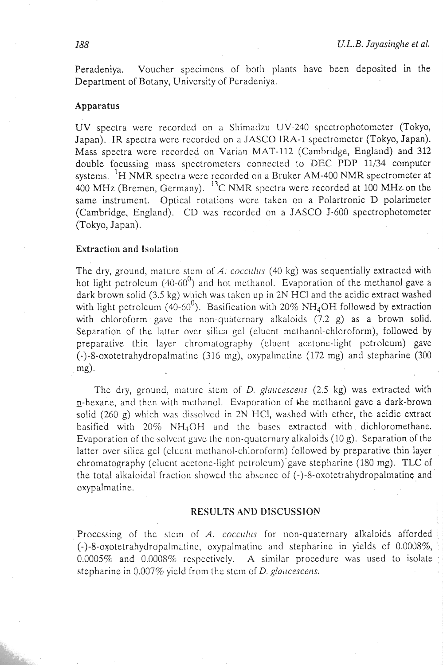Peradeniya. Voucher spccimcns of both plants have been deposited in the Department of Botany, University of Pcradeniya.

## **Apparatus**

UV spectra were recorded on a Shimadzu UV-240 spectrophotometer (Tokyo, Japan). IR spectra wcrc recorded on a JASCO IRA-1 spectrometer (Tokyo, Japan). Mass spectra were recorded on Varian MAT-112 (Cambridge, England) and 312 double focussing mass spectrometers connected to DEC PDP 11/34 computer systems. <sup>1</sup>H NMR spectra were recorded on a Bruker AM-400 NMR spectrometer at 400 MHz (Bremen, Germany). 13c NMR spectra were recorded at 100 MHz on the same instrument. Optical rotations were taken on a Polartronic D polarimeter (Cambridge, England). CD was recorded on a JASCO J-600 spectrophotometer (Tokyo, Japan).

# **Extraction** and **Isolation**

The dry, ground, mature stem of A. cocculus (40 kg) was sequentially extracted with hot light petroleum  $(40-60^0)$  and hot methanol. Evaporation of the methanol gave a dark brown solid (3.5 kg) which was taken up in 2N HCl and the acidic extract washed with light petroleum (40-60<sup>0</sup>). Basification with 20% NH<sub>4</sub>OH followed by extraction with chloroform gave the non-quaternary alkaloids (7.2 g) as a brown solid. Separation of the latter ovcr silica gel (elucnt methanol-chloroform), followed by preparative thin layer chromatography (cluent acetone-light petroleum) gave  $(-)$ -8-oxotetrahydropalmatine (316 mg), oxypalmatine (172 mg) and stepharine (300 mg).

The dry, ground, mature stem of D. glaucescens  $(2.5 \text{ kg})$  was extracted with n-hexane, and then with methanol. Evaporation of the methanol gave a dark-brown solid (260 g) which was dissolved in 2N HCl, washed with ether, the acidic extract basified with 20% NH40H and thc bases extracted with dichloromethane. Evaporation of the solvent gave the non-quaternary alkaloids (10 g). Separation of the latter over silica gel (clucnt methanol-chloroform) followed by preparative thin layer chromatography (elucnt acctonc-light pctrolcum)'gave stepharine (180 mg). TLC of the total alkaloidal fraction showed the absence of  $(-)$ -8-oxotetrahydropalmatine and oxypalmatine.

## **RESULTS AND DISCUSSION**

Processing of the stem of A. *cocculus* for non-quaternary alkaloids afforded  $(-)$ -8-oxotetrahydropalmatine, oxypalmatine and stepharine in yields of 0.0008%, 0.0005% and 0.000S% rcspcctivcly. A similar procedurc was used to isolate stepharine in  $0.007\%$  yield from the stem of D. glaucescens.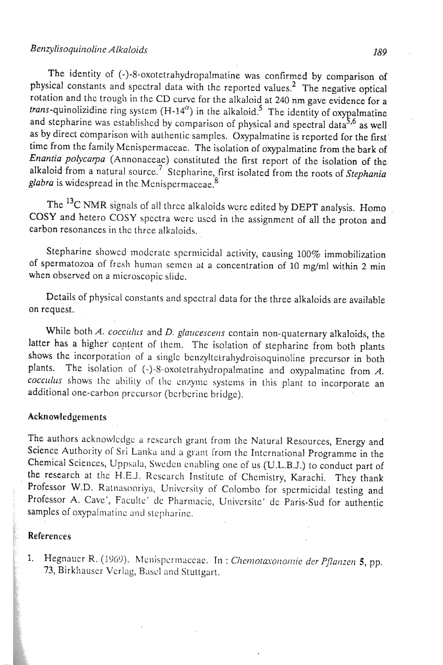# Benzylisoquinoline Alkaloids *189* **189**

The identity of (-)-8-oxotetrahydropalmatine was confirmed by comparison of physical constants and spectral data with the reported values.2 The negative optical rotation and the trough in the CD curve for the alkaloid at 240 nm gave evidence for a *trans*-quinolizidine ring system  $(H-14^{\alpha})$  in the alkaloid.<sup>5</sup> The identity of oxypalmatine and stepharine was established by comparison of physical and spectral data<sup>5,6</sup> as well as by direct comparison with authentic samples. Oxypalmatine is reported for the first' time from the family Menispermaceae. The isolation of oxypalmatine from the bark of Enantia polycarpa (Annonaceae) constituted the first report of the isolation of the alkaloid from a natural source.<sup>7</sup> Stepharine, first isolated from the roots of Stephania glabra is widespread in the Mcnispermaceae. **8** 

The **13c** NMR signals of all thrce alkaloids were edited by DEPT analysis. Homo COSY and hetero COSY spectra wcrc used in the assignment of all the proton and carbon resonances in thc three alkaloids.

Stepharine showed moderate spermicidal activity, causing 100% immobilization of spermatozoa of fresh human semen at a concentration of 10 mg/ml within *2* min when observed on a microscopic slide.

Details of physical constants and spectral data for the three alkaloids are available on request.

While both A. cocculus and D. glaucescens contain non-quaternary alkaloids, the latter has a higher content of them. The isolation of stepharine from both plants shows the incorporation of a single benzyltetralydroisoquinoline precursor in both plants. The isolation of (-)-8-oxoletrahydropalmatine and oxypalmatine from *A.*  cocculus shows the ability of the enzyme systems in this plant to incorporate an additional one-carbon precursor (bcrbcrine bridge).

# Acknowledgements

The authors acknowledge a research grant from the Natural Resources, Energy and Science Authority of Sri Lanka and a grant from the International Programme in the Chemical Sciences, Uppsala, Sweden enabling one of us (U.L.B.J.) to conduct part of the research at the H.E.J. Research Institute of Chemistry, Karachi. They thank Professor W.D. Ralnasooriya, University of Colombo for spermicidal testing and Professor A. Cave', Faculte' de Pharmacie, Universite' de Paris-Sud for authentic samples of oxypalmatine and stepharine.

## **References**

1. Hegnauer R. (1969). Menispermaceae. In : Chemotaxonomie der Pflanzen 5, pp. **73,** Birkhauscr Verlag, Bascl and Slutlgart.